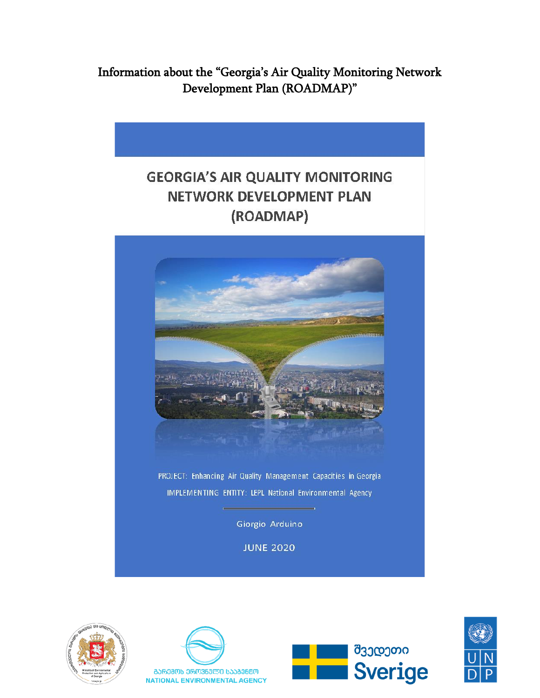Information about the "Georgia's Air Quality Monitoring Network Development Plan (ROADMAP)"

## **GEORGIA'S AIR QUALITY MONITORING NETWORK DEVELOPMENT PLAN** (ROADMAP)









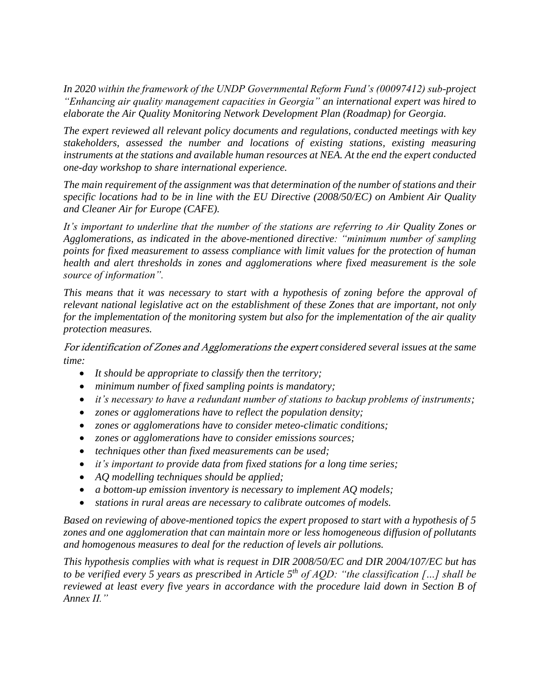*In 2020 within the framework of the UNDP Governmental Reform Fund's (00097412) sub-project "Enhancing air quality management capacities in Georgia" an international expert was hired to elaborate the Air Quality Monitoring Network Development Plan (Roadmap) for Georgia.* 

*The expert reviewed all relevant policy documents and regulations, conducted meetings with key stakeholders, assessed the number and locations of existing stations, existing measuring*  instruments at the stations and available human resources at NEA. At the end the expert conducted *one-day workshop to share international experience.* 

*The main requirement of the assignment was that determination of the number of stations and their specific locations had to be in line with the EU Directive (2008/50/EC) on Ambient Air Quality and Cleaner Air for Europe (CAFE).*

*It's important to underline that the number of the stations are referring to Air Quality Zones or Agglomerations, as indicated in the above-mentioned directive: "minimum number of sampling points for fixed measurement to assess compliance with limit values for the protection of human health and alert thresholds in zones and agglomerations where fixed measurement is the sole source of information".* 

*This means that it was necessary to start with a hypothesis of zoning before the approval of relevant national legislative act on the establishment of these Zones that are important, not only for the implementation of the monitoring system but also for the implementation of the air quality protection measures.*

For identification of Zones and Agglomerations the expert *considered several issues at the same time:*

- *It should be appropriate to classify then the territory;*
- *minimum number of fixed sampling points is mandatory;*
- *it's necessary to have a redundant number of stations to backup problems of instruments;*
- *zones or agglomerations have to reflect the population density;*
- *zones or agglomerations have to consider meteo-climatic conditions;*
- *zones or agglomerations have to consider emissions sources;*
- *techniques other than fixed measurements can be used;*
- *it's important to provide data from fixed stations for a long time series;*
- *AQ modelling techniques should be applied;*
- *a bottom-up emission inventory is necessary to implement AQ models;*
- *stations in rural areas are necessary to calibrate outcomes of models.*

*Based on reviewing of above-mentioned topics the expert proposed to start with a hypothesis of 5 zones and one agglomeration that can maintain more or less homogeneous diffusion of pollutants and homogenous measures to deal for the reduction of levels air pollutions.*

*This hypothesis complies with what is request in DIR 2008/50/EC and DIR 2004/107/EC but has to be verified every 5 years as prescribed in Article 5th of AQD: "the classification […] shall be reviewed at least every five years in accordance with the procedure laid down in Section B of Annex II."*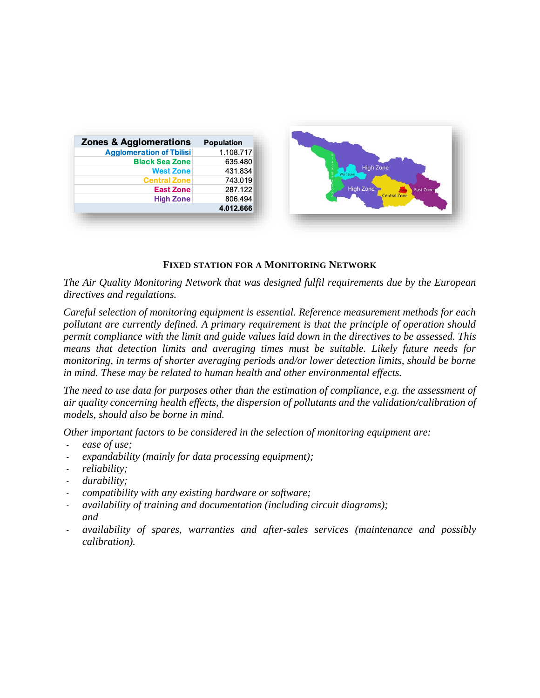| <b>Zones &amp; Agglomerations</b> | Population |  |  |  |
|-----------------------------------|------------|--|--|--|
| <b>Agglomeration of Tbilisi</b>   | 1.108.717  |  |  |  |
| <b>Black Sea Zone</b>             | 635.480    |  |  |  |
| <b>West Zone</b>                  | 431.834    |  |  |  |
| <b>Central Zone</b>               | 743.019    |  |  |  |
| <b>East Zone</b>                  | 287.122    |  |  |  |
| <b>High Zone</b>                  | 806.494    |  |  |  |
|                                   | 4.012.666  |  |  |  |



## **FIXED STATION FOR A MONITORING NETWORK**

*The Air Quality Monitoring Network that was designed fulfil requirements due by the European directives and regulations.*

*Careful selection of monitoring equipment is essential. Reference measurement methods for each pollutant are currently defined. A primary requirement is that the principle of operation should permit compliance with the limit and guide values laid down in the directives to be assessed. This means that detection limits and averaging times must be suitable. Likely future needs for monitoring, in terms of shorter averaging periods and/or lower detection limits, should be borne in mind. These may be related to human health and other environmental effects.* 

*The need to use data for purposes other than the estimation of compliance, e.g. the assessment of air quality concerning health effects, the dispersion of pollutants and the validation/calibration of models, should also be borne in mind.* 

*Other important factors to be considered in the selection of monitoring equipment are:*

- *ease of use;*
- expandability (mainly for data processing equipment);
- *reliability;*
- *durability;*
- *compatibility with any existing hardware or software;*
- *availability of training and documentation (including circuit diagrams); and*
- *availability of spares, warranties and after-sales services (maintenance and possibly calibration).*